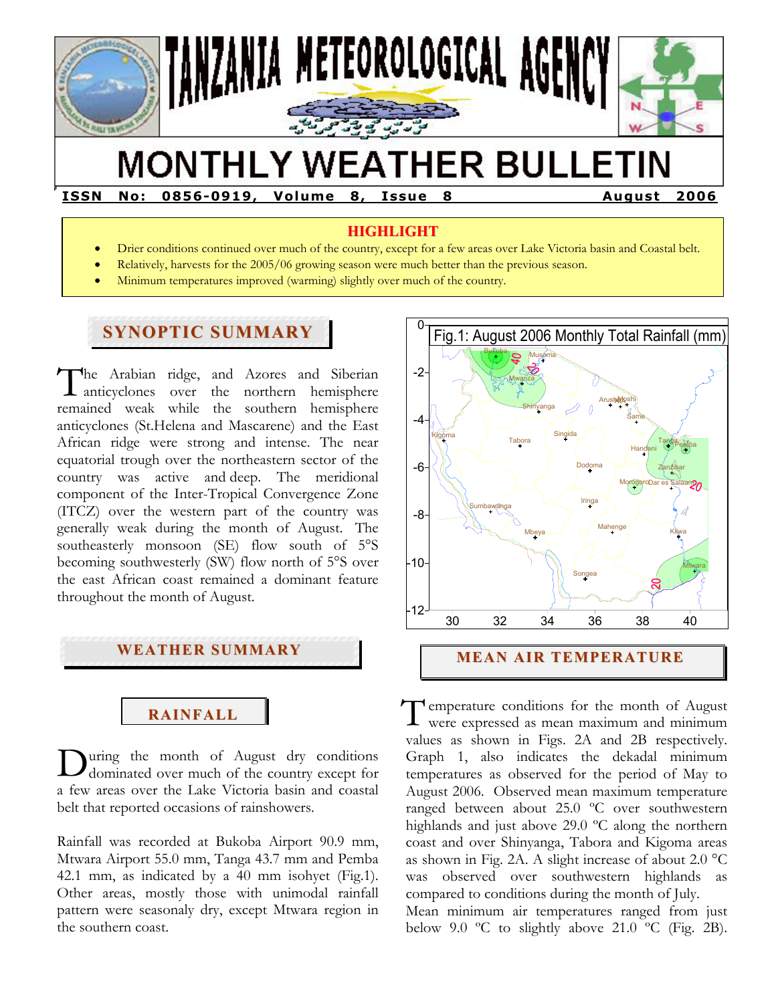

# **MONTHLY WEATHER BULLETIN**

**ISSN No: 0856-0919, Volume 8, Issue 8 August 2006** 

## **HIGHLIGHT**

- Drier conditions continued over much of the country, except for a few areas over Lake Victoria basin and Coastal belt.
- Relatively, harvests for the 2005/06 growing season were much better than the previous season.
- Minimum temperatures improved (warming) slightly over much of the country.

## **SYNOPTIC SUMMARY**

**F** 

he Arabian ridge, and Azores and Siberian The Arabian ridge, and Azores and Siberian<br>anticyclones over the northern hemisphere remained weak while the southern hemisphere anticyclones (St.Helena and Mascarene) and the East African ridge were strong and intense. The near equatorial trough over the northeastern sector of the country was active and deep. The meridional component of the Inter-Tropical Convergence Zone (ITCZ) over the western part of the country was generally weak during the month of August. The southeasterly monsoon (SE) flow south of 5°S becoming southwesterly (SW) flow north of 5°S over the east African coast remained a dominant feature throughout the month of August.



# **RAINFALL**

uring the month of August dry conditions dominated over much of the country except for a few areas over the Lake Victoria basin and coastal belt that reported occasions of rainshowers. D

Rainfall was recorded at Bukoba Airport 90.9 mm, Mtwara Airport 55.0 mm, Tanga 43.7 mm and Pemba 42.1 mm, as indicated by a 40 mm isohyet (Fig.1). Other areas, mostly those with unimodal rainfall pattern were seasonaly dry, except Mtwara region in the southern coast.



### **MEAN AIR TEMPERATURE**

T emperature conditions for the month of August<br>were expressed as mean maximum and minimum were expressed as mean maximum and minimum values as shown in Figs. 2A and 2B respectively. Graph 1, also indicates the dekadal minimum temperatures as observed for the period of May to August 2006. Observed mean maximum temperature ranged between about 25.0 ºC over southwestern highlands and just above 29.0 ºC along the northern coast and over Shinyanga, Tabora and Kigoma areas as shown in Fig. 2A. A slight increase of about 2.0 °C was observed over southwestern highlands as compared to conditions during the month of July. Mean minimum air temperatures ranged from just below 9.0  $\degree$ C to slightly above 21.0  $\degree$ C (Fig. 2B).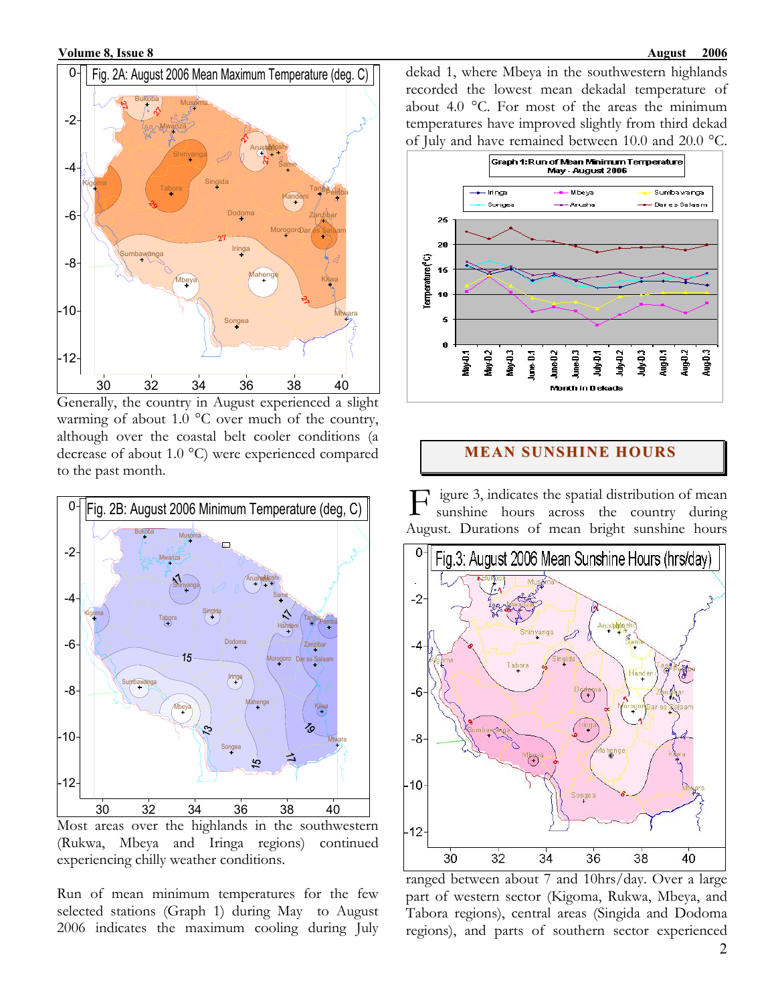

Generally, the country in August experienced a slight warming of about 1.0  $^{\circ}$ C over much of the country, although over the coastal belt cooler conditions (a decrease of about 1.0 °C) were experienced compared to the past month.



Most areas over the highlands in the southwestern (Rukwa, Mbeya and Iringa regions) continued experiencing chilly weather conditions.

Run of mean minimum temperatures for the few selected stations (Graph 1) during May to August 2006 indicates the maximum cooling during July dekad 1, where Mbeya in the southwestern highlands recorded the lowest mean dekadal temperature of about 4.0 °C. For most of the areas the minimum temperatures have improved slightly from third dekad of July and have remained between 10.0 and 20.0 °C.



#### **MEAN SUNSHINE HOURS**

igure 3, indicates the spatial distribution of mean sunshine hours across the country during August. Durations of mean bright sunshine hours F



ranged between about 7 and 10hrs/day. Over a large part of western sector (Kigoma, Rukwa, Mbeya, and Tabora regions), central areas (Singida and Dodoma regions), and parts of southern sector experienced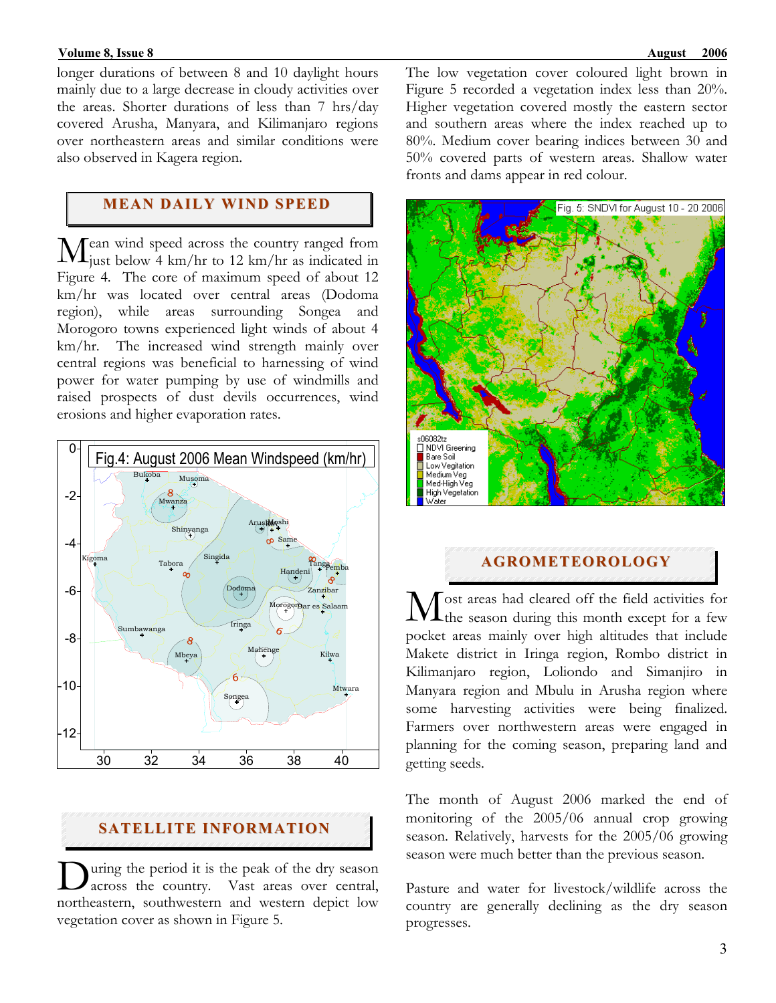#### **Volume 8, Issue 8** August 2006 **August 2006 August 2006**

longer durations of between 8 and 10 daylight hours mainly due to a large decrease in cloudy activities over the areas. Shorter durations of less than 7 hrs/day covered Arusha, Manyara, and Kilimanjaro regions over northeastern areas and similar conditions were also observed in Kagera region.

## **MEAN DAILY WIND SPEED**

ean wind speed across the country ranged from  $\mathbf{M}$ ean wind speed across the country ranged from just below 4 km/hr to 12 km/hr as indicated in Figure 4. The core of maximum speed of about 12 km/hr was located over central areas (Dodoma region), while areas surrounding Songea and Morogoro towns experienced light winds of about 4 km/hr. The increased wind strength mainly over central regions was beneficial to harnessing of wind power for water pumping by use of windmills and raised prospects of dust devils occurrences, wind erosions and higher evaporation rates.



## **SATELLITE INFORMATION**

uring the period it is the peak of the dry season During the period it is the peak of the dry season<br>across the country. Vast areas over central, northeastern, southwestern and western depict low vegetation cover as shown in Figure 5.

The low vegetation cover coloured light brown in Figure 5 recorded a vegetation index less than 20%. Higher vegetation covered mostly the eastern sector and southern areas where the index reached up to 80%. Medium cover bearing indices between 30 and 50% covered parts of western areas. Shallow water fronts and dams appear in red colour.



#### **AGROMETEOROLOGY**

 $\int$  ost areas had cleared off the field activities for Most areas had cleared off the field activities for the season during this month except for a few pocket areas mainly over high altitudes that include Makete district in Iringa region, Rombo district in Kilimanjaro region, Loliondo and Simanjiro in Manyara region and Mbulu in Arusha region where some harvesting activities were being finalized. Farmers over northwestern areas were engaged in planning for the coming season, preparing land and getting seeds.

The month of August 2006 marked the end of monitoring of the 2005/06 annual crop growing season. Relatively, harvests for the 2005/06 growing season were much better than the previous season.

Pasture and water for livestock/wildlife across the country are generally declining as the dry season progresses.